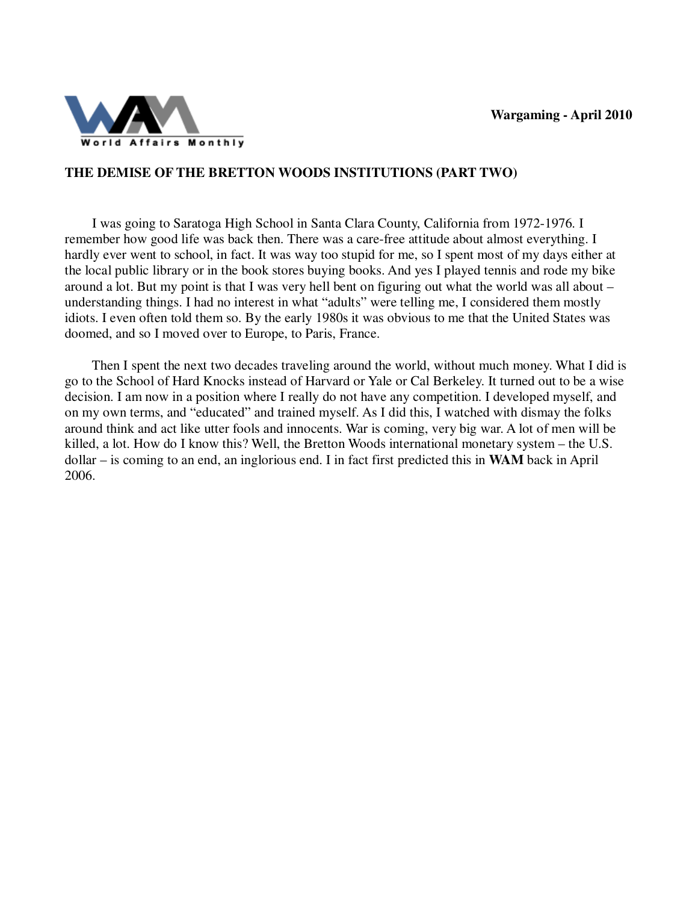

## **THE DEMISE OF THE BRETTON WOODS INSTITUTIONS (PART TWO)**

 I was going to Saratoga High School in Santa Clara County, California from 1972-1976. I remember how good life was back then. There was a care-free attitude about almost everything. I hardly ever went to school, in fact. It was way too stupid for me, so I spent most of my days either at the local public library or in the book stores buying books. And yes I played tennis and rode my bike around a lot. But my point is that I was very hell bent on figuring out what the world was all about – understanding things. I had no interest in what "adults" were telling me, I considered them mostly idiots. I even often told them so. By the early 1980s it was obvious to me that the United States was doomed, and so I moved over to Europe, to Paris, France.

 Then I spent the next two decades traveling around the world, without much money. What I did is go to the School of Hard Knocks instead of Harvard or Yale or Cal Berkeley. It turned out to be a wise decision. I am now in a position where I really do not have any competition. I developed myself, and on my own terms, and "educated" and trained myself. As I did this, I watched with dismay the folks around think and act like utter fools and innocents. War is coming, very big war. A lot of men will be killed, a lot. How do I know this? Well, the Bretton Woods international monetary system – the U.S. dollar – is coming to an end, an inglorious end. I in fact first predicted this in **WAM** back in April 2006.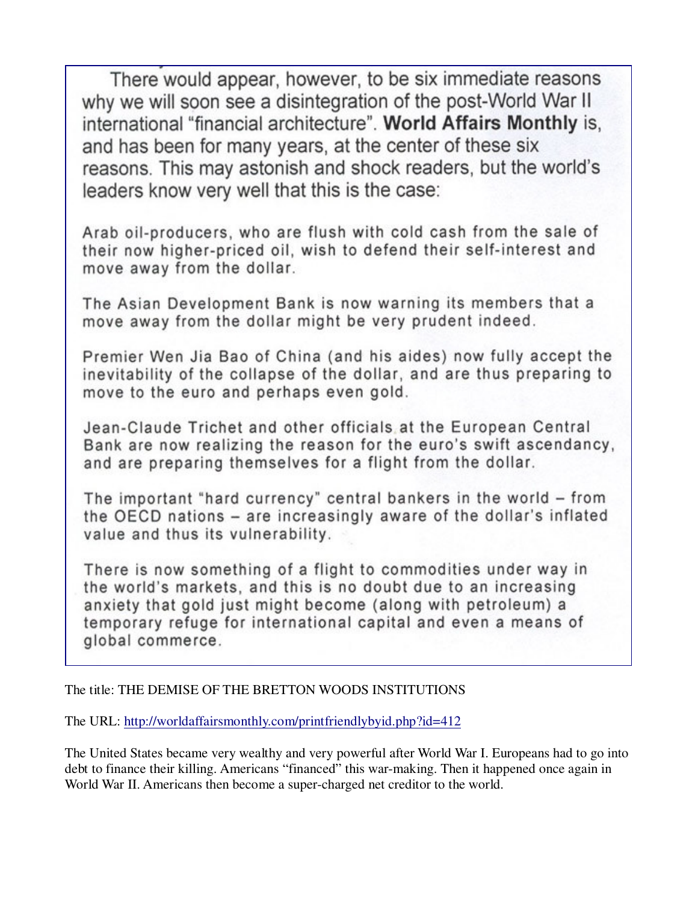There would appear, however, to be six immediate reasons why we will soon see a disintegration of the post-World War II international "financial architecture". World Affairs Monthly is, and has been for many years, at the center of these six reasons. This may astonish and shock readers, but the world's leaders know very well that this is the case:

Arab oil-producers, who are flush with cold cash from the sale of their now higher-priced oil, wish to defend their self-interest and move away from the dollar.

The Asian Development Bank is now warning its members that a move away from the dollar might be very prudent indeed.

Premier Wen Jia Bao of China (and his aides) now fully accept the inevitability of the collapse of the dollar, and are thus preparing to move to the euro and perhaps even gold.

Jean-Claude Trichet and other officials at the European Central Bank are now realizing the reason for the euro's swift ascendancy, and are preparing themselves for a flight from the dollar.

The important "hard currency" central bankers in the world - from the OECD nations - are increasingly aware of the dollar's inflated value and thus its vulnerability.

There is now something of a flight to commodities under way in the world's markets, and this is no doubt due to an increasing anxiety that gold just might become (along with petroleum) a temporary refuge for international capital and even a means of global commerce.

The title: THE DEMISE OF THE BRETTON WOODS INSTITUTIONS

The URL: http://worldaffairsmonthly.com/printfriendlybyid.php?id=412

The United States became very wealthy and very powerful after World War I. Europeans had to go into debt to finance their killing. Americans "financed" this war-making. Then it happened once again in World War II. Americans then become a super-charged net creditor to the world.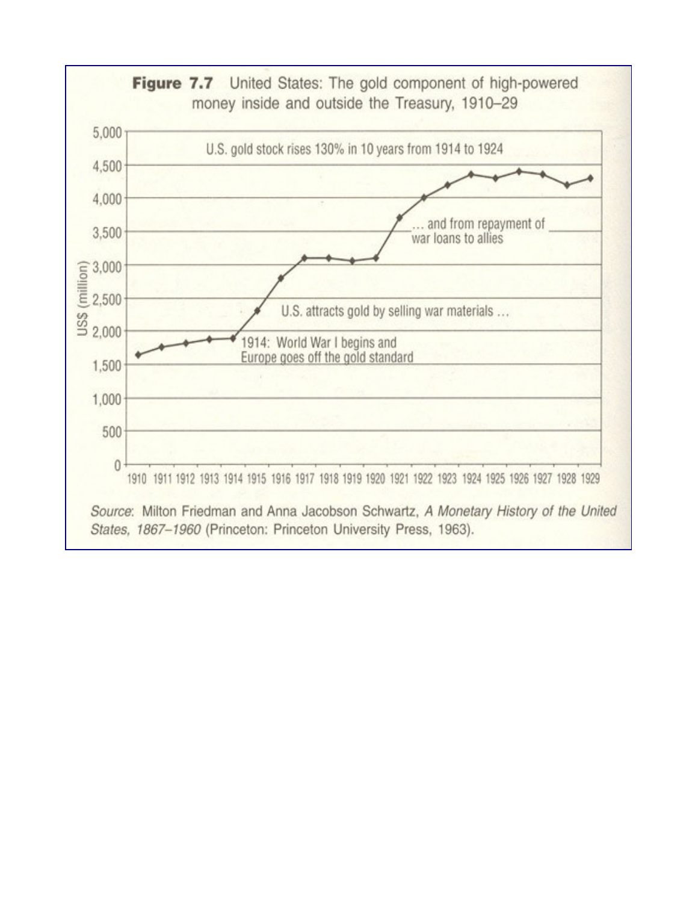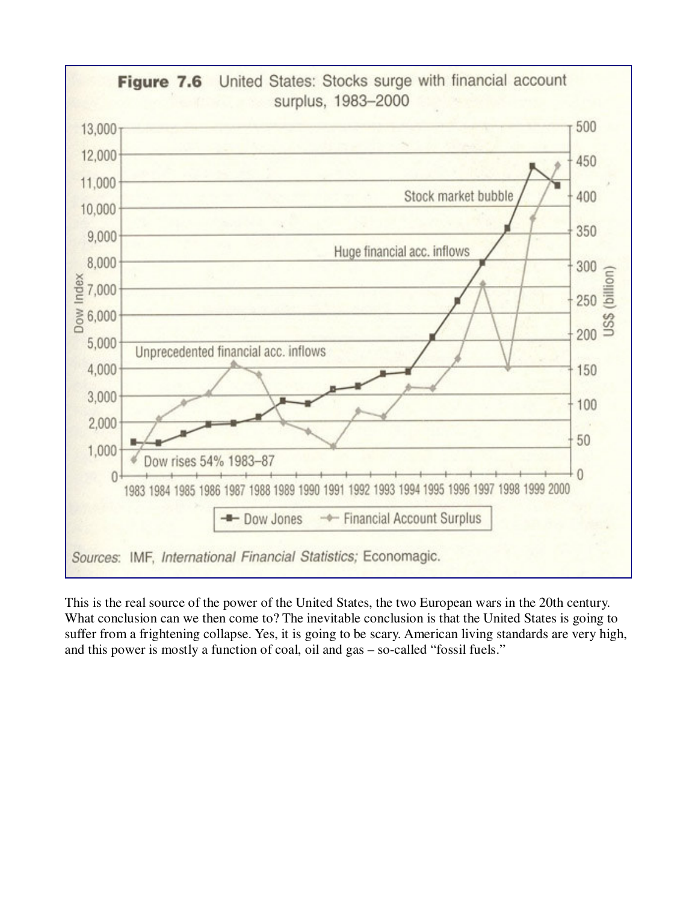

This is the real source of the power of the United States, the two European wars in the 20th century. What conclusion can we then come to? The inevitable conclusion is that the United States is going to suffer from a frightening collapse. Yes, it is going to be scary. American living standards are very high, and this power is mostly a function of coal, oil and gas – so-called "fossil fuels."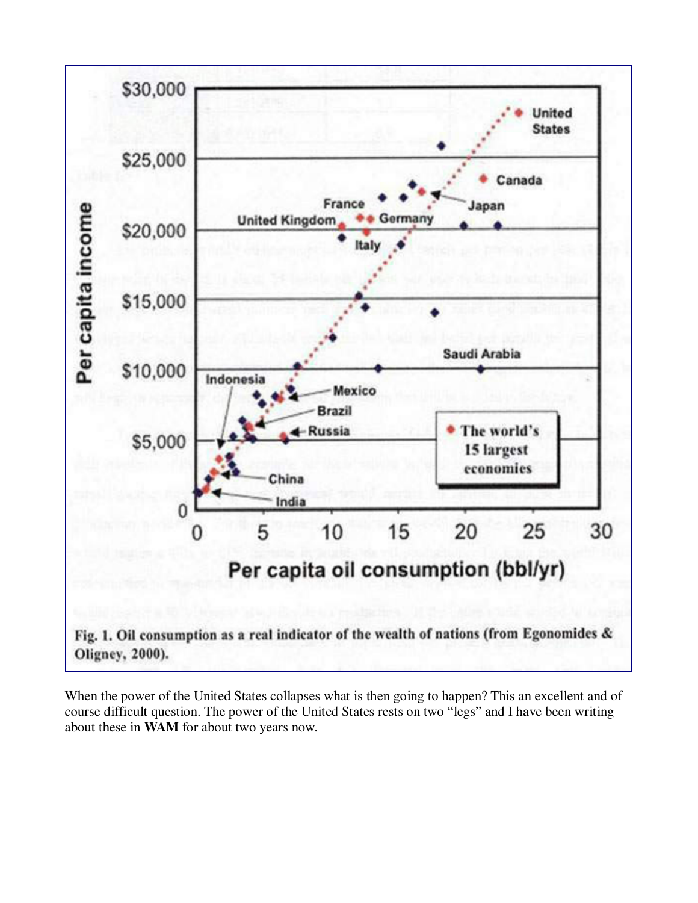

When the power of the United States collapses what is then going to happen? This an excellent and of course difficult question. The power of the United States rests on two "legs" and I have been writing about these in **WAM** for about two years now.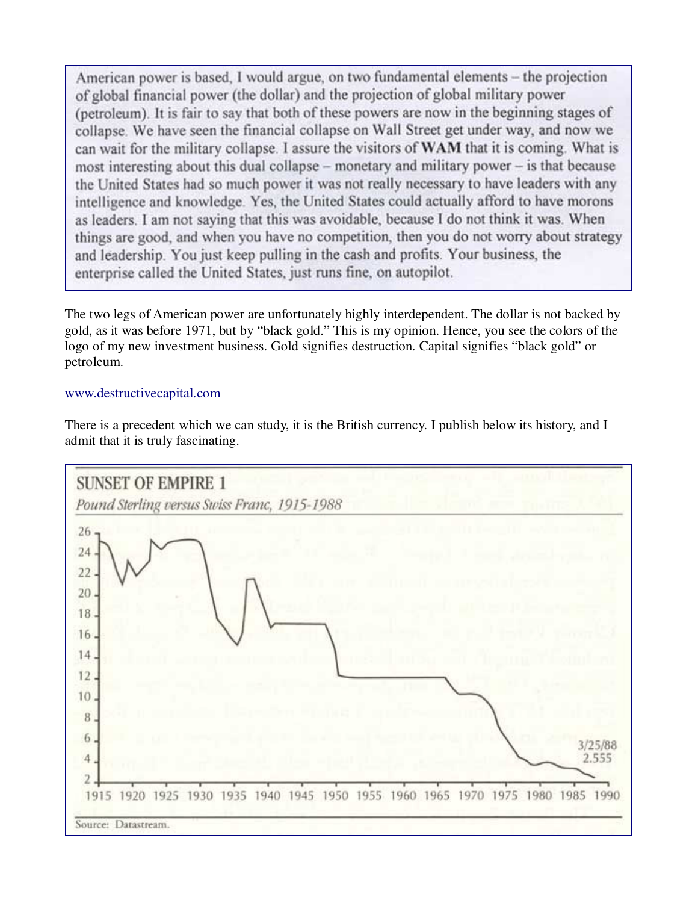American power is based. I would argue, on two fundamental elements – the projection of global financial power (the dollar) and the projection of global military power (petroleum). It is fair to say that both of these powers are now in the beginning stages of collapse. We have seen the financial collapse on Wall Street get under way, and now we can wait for the military collapse. I assure the visitors of WAM that it is coming. What is most interesting about this dual collapse – monetary and military power – is that because the United States had so much power it was not really necessary to have leaders with any intelligence and knowledge. Yes, the United States could actually afford to have morons as leaders. I am not saying that this was avoidable, because I do not think it was. When things are good, and when you have no competition, then you do not worry about strategy and leadership. You just keep pulling in the cash and profits. Your business, the enterprise called the United States, just runs fine, on autopilot.

The two legs of American power are unfortunately highly interdependent. The dollar is not backed by gold, as it was before 1971, but by "black gold." This is my opinion. Hence, you see the colors of the logo of my new investment business. Gold signifies destruction. Capital signifies "black gold" or petroleum.

## www.destructivecapital.com

There is a precedent which we can study, it is the British currency. I publish below its history, and I admit that it is truly fascinating.